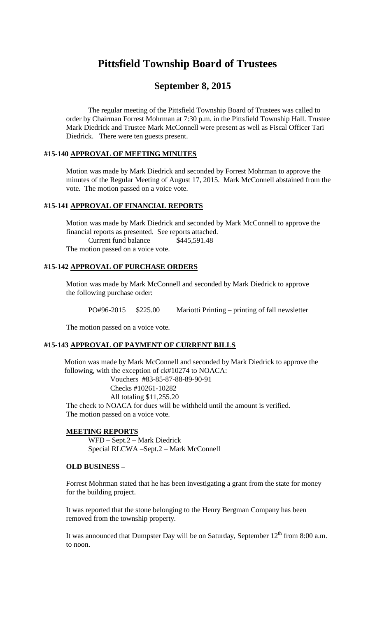# **Pittsfield Township Board of Trustees**

# **September 8, 2015**

The regular meeting of the Pittsfield Township Board of Trustees was called to order by Chairman Forrest Mohrman at 7:30 p.m. in the Pittsfield Township Hall. Trustee Mark Diedrick and Trustee Mark McConnell were present as well as Fiscal Officer Tari Diedrick. There were ten guests present.

#### **#15-140 APPROVAL OF MEETING MINUTES**

Motion was made by Mark Diedrick and seconded by Forrest Mohrman to approve the minutes of the Regular Meeting of August 17, 2015. Mark McConnell abstained from the vote. The motion passed on a voice vote.

# **#15-141 APPROVAL OF FINANCIAL REPORTS**

Motion was made by Mark Diedrick and seconded by Mark McConnell to approve the financial reports as presented. See reports attached. Current fund balance \$445,591.48 The motion passed on a voice vote.

# **#15-142 APPROVAL OF PURCHASE ORDERS**

Motion was made by Mark McConnell and seconded by Mark Diedrick to approve the following purchase order:

PO#96-2015 \$225.00 Mariotti Printing – printing of fall newsletter

The motion passed on a voice vote.

# **#15-143 APPROVAL OF PAYMENT OF CURRENT BILLS**

Motion was made by Mark McConnell and seconded by Mark Diedrick to approve the following, with the exception of ck#10274 to NOACA: Vouchers #83-85-87-88-89-90-91 Checks #10261-10282

All totaling \$11,255.20

The check to NOACA for dues will be withheld until the amount is verified. The motion passed on a voice vote.

#### **MEETING REPORTS**

WFD – Sept.2 – Mark Diedrick Special RLCWA –Sept.2 – Mark McConnell

#### **OLD BUSINESS –**

Forrest Mohrman stated that he has been investigating a grant from the state for money for the building project.

It was reported that the stone belonging to the Henry Bergman Company has been removed from the township property.

It was announced that Dumpster Day will be on Saturday, September  $12<sup>th</sup>$  from 8:00 a.m. to noon.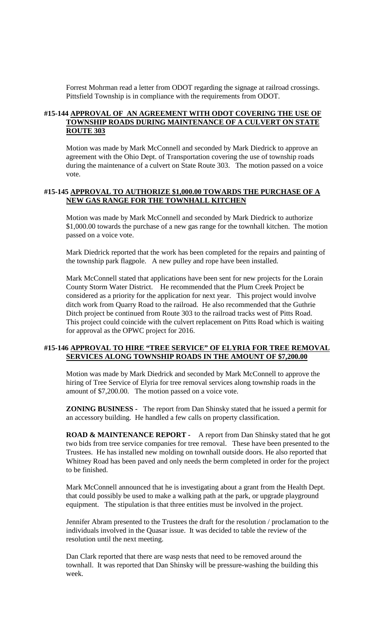Forrest Mohrman read a letter from ODOT regarding the signage at railroad crossings. Pittsfield Township is in compliance with the requirements from ODOT.

# **#15-144 APPROVAL OF AN AGREEMENT WITH ODOT COVERING THE USE OF TOWNSHIP ROADS DURING MAINTENANCE OF A CULVERT ON STATE ROUTE 303**

Motion was made by Mark McConnell and seconded by Mark Diedrick to approve an agreement with the Ohio Dept. of Transportation covering the use of township roads during the maintenance of a culvert on State Route 303. The motion passed on a voice vote.

#### **#15-145 APPROVAL TO AUTHORIZE \$1,000.00 TOWARDS THE PURCHASE OF A NEW GAS RANGE FOR THE TOWNHALL KITCHEN**

Motion was made by Mark McConnell and seconded by Mark Diedrick to authorize \$1,000.00 towards the purchase of a new gas range for the townhall kitchen. The motion passed on a voice vote.

Mark Diedrick reported that the work has been completed for the repairs and painting of the township park flagpole. A new pulley and rope have been installed.

Mark McConnell stated that applications have been sent for new projects for the Lorain County Storm Water District. He recommended that the Plum Creek Project be considered as a priority for the application for next year. This project would involve ditch work from Quarry Road to the railroad. He also recommended that the Guthrie Ditch project be continued from Route 303 to the railroad tracks west of Pitts Road. This project could coincide with the culvert replacement on Pitts Road which is waiting for approval as the OPWC project for 2016.

# **#15-146 APPROVAL TO HIRE "TREE SERVICE" OF ELYRIA FOR TREE REMOVAL SERVICES ALONG TOWNSHIP ROADS IN THE AMOUNT OF \$7,200.00**

Motion was made by Mark Diedrick and seconded by Mark McConnell to approve the hiring of Tree Service of Elyria for tree removal services along township roads in the amount of \$7,200.00. The motion passed on a voice vote.

**ZONING BUSINESS -** The report from Dan Shinsky stated that he issued a permit for an accessory building. He handled a few calls on property classification.

**ROAD & MAINTENANCE REPORT -** A report from Dan Shinsky stated that he got two bids from tree service companies for tree removal. These have been presented to the Trustees. He has installed new molding on townhall outside doors. He also reported that Whitney Road has been paved and only needs the berm completed in order for the project to be finished.

Mark McConnell announced that he is investigating about a grant from the Health Dept. that could possibly be used to make a walking path at the park, or upgrade playground equipment. The stipulation is that three entities must be involved in the project.

Jennifer Abram presented to the Trustees the draft for the resolution / proclamation to the individuals involved in the Quasar issue. It was decided to table the review of the resolution until the next meeting.

Dan Clark reported that there are wasp nests that need to be removed around the townhall. It was reported that Dan Shinsky will be pressure-washing the building this week.